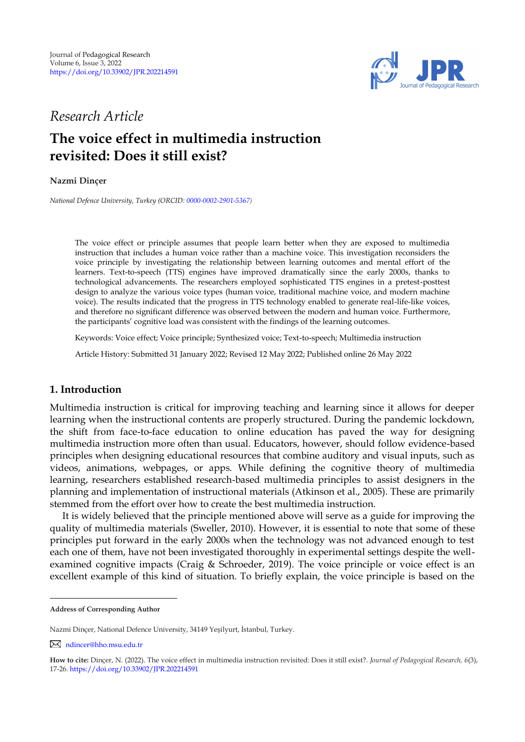

# *Research Article*

# **The voice effect in multimedia instruction revisited: Does it still exist?**

#### **Nazmi Dincer**

*National Defence University, Turkey (ORCID[: 0000-0002-2901-5367\)](https://orcid.org/0000-0002-2901-5367)*

The voice effect or principle assumes that people learn better when they are exposed to multimedia instruction that includes a human voice rather than a machine voice. This investigation reconsiders the voice principle by investigating the relationship between learning outcomes and mental effort of the learners. Text-to-speech (TTS) engines have improved dramatically since the early 2000s, thanks to technological advancements. The researchers employed sophisticated TTS engines in a pretest-posttest design to analyze the various voice types (human voice, traditional machine voice, and modern machine voice). The results indicated that the progress in TTS technology enabled to generate real-life-like voices, and therefore no significant difference was observed between the modern and human voice. Furthermore, the participants' cognitive load was consistent with the findings of the learning outcomes.

Keywords: Voice effect; Voice principle; Synthesized voice; Text-to-speech; Multimedia instruction

Article History: Submitted 31 January 2022; Revised 12 May 2022; Published online 26 May 2022

## **1. Introduction**

Multimedia instruction is critical for improving teaching and learning since it allows for deeper learning when the instructional contents are properly structured. During the pandemic lockdown, the shift from face-to-face education to online education has paved the way for designing multimedia instruction more often than usual. Educators, however, should follow evidence-based principles when designing educational resources that combine auditory and visual inputs, such as videos, animations, webpages, or apps. While defining the cognitive theory of multimedia learning, researchers established research-based multimedia principles to assist designers in the planning and implementation of instructional materials (Atkinson et al., 2005). These are primarily stemmed from the effort over how to create the best multimedia instruction.

It is widely believed that the principle mentioned above will serve as a guide for improving the quality of multimedia materials (Sweller, 2010). However, it is essential to note that some of these principles put forward in the early 2000s when the technology was not advanced enough to test each one of them, have not been investigated thoroughly in experimental settings despite the wellexamined cognitive impacts (Craig & Schroeder, 2019). The voice principle or voice effect is an excellent example of this kind of situation. To briefly explain, the voice principle is based on the

**Address of Corresponding Author**

Nazmi Dinçer, National Defence University, 34149 Yeşilyurt, İstanbul, Turkey.

M [ndincer@hho.msu.edu.tr](mailto:ndincer@hho.msu.edu.tr)

**How to cite:** Dinçer, N. (2022). The voice effect in multimedia instruction revisited: Does it still exist?. *Journal of Pedagogical Research, 6*(3), 17-26. <https://doi.org/10.33902/JPR.202214591>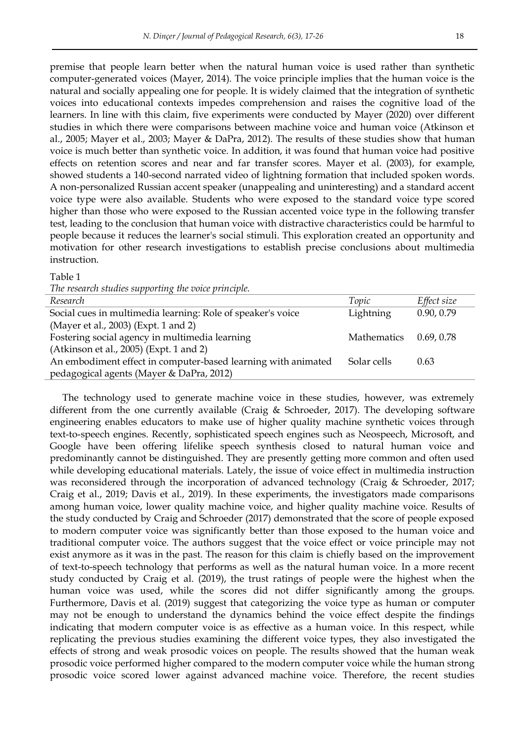premise that people learn better when the natural human voice is used rather than synthetic computer-generated voices (Mayer, 2014). The voice principle implies that the human voice is the natural and socially appealing one for people. It is widely claimed that the integration of synthetic voices into educational contexts impedes comprehension and raises the cognitive load of the learners. In line with this claim, five experiments were conducted by Mayer (2020) over different studies in which there were comparisons between machine voice and human voice (Atkinson et al., 2005; Mayer et al., 2003; Mayer & DaPra, 2012). The results of these studies show that human voice is much better than synthetic voice. In addition, it was found that human voice had positive effects on retention scores and near and far transfer scores. Mayer et al. (2003), for example, showed students a 140-second narrated video of lightning formation that included spoken words. A non-personalized Russian accent speaker (unappealing and uninteresting) and a standard accent voice type were also available. Students who were exposed to the standard voice type scored higher than those who were exposed to the Russian accented voice type in the following transfer test, leading to the conclusion that human voice with distractive characteristics could be harmful to people because it reduces the learner's social stimuli. This exploration created an opportunity and motivation for other research investigations to establish precise conclusions about multimedia instruction.

#### Table 1

*The research studies supporting the voice principle.*

| Research                                                      | Topic       | Effect size |
|---------------------------------------------------------------|-------------|-------------|
| Social cues in multimedia learning: Role of speaker's voice   | Lightning   | 0.90, 0.79  |
| (Mayer et al., 2003) (Expt. 1 and 2)                          |             |             |
| Fostering social agency in multimedia learning                | Mathematics | 0.69, 0.78  |
| (Atkinson et al., 2005) (Expt. 1 and 2)                       |             |             |
| An embodiment effect in computer-based learning with animated | Solar cells | 0.63        |
| pedagogical agents (Mayer & DaPra, 2012)                      |             |             |

The technology used to generate machine voice in these studies, however, was extremely different from the one currently available (Craig & Schroeder, 2017). The developing software engineering enables educators to make use of higher quality machine synthetic voices through text-to-speech engines. Recently, sophisticated speech engines such as Neospeech, Microsoft, and Google have been offering lifelike speech synthesis closed to natural human voice and predominantly cannot be distinguished. They are presently getting more common and often used while developing educational materials. Lately, the issue of voice effect in multimedia instruction was reconsidered through the incorporation of advanced technology (Craig & Schroeder, 2017; Craig et al., 2019; Davis et al., 2019). In these experiments, the investigators made comparisons among human voice, lower quality machine voice, and higher quality machine voice. Results of the study conducted by Craig and Schroeder (2017) demonstrated that the score of people exposed to modern computer voice was significantly better than those exposed to the human voice and traditional computer voice. The authors suggest that the voice effect or voice principle may not exist anymore as it was in the past. The reason for this claim is chiefly based on the improvement of text-to-speech technology that performs as well as the natural human voice. In a more recent study conducted by Craig et al. (2019), the trust ratings of people were the highest when the human voice was used, while the scores did not differ significantly among the groups. Furthermore, Davis et al. (2019) suggest that categorizing the voice type as human or computer may not be enough to understand the dynamics behind the voice effect despite the findings indicating that modern computer voice is as effective as a human voice. In this respect, while replicating the previous studies examining the different voice types, they also investigated the effects of strong and weak prosodic voices on people. The results showed that the human weak prosodic voice performed higher compared to the modern computer voice while the human strong prosodic voice scored lower against advanced machine voice. Therefore, the recent studies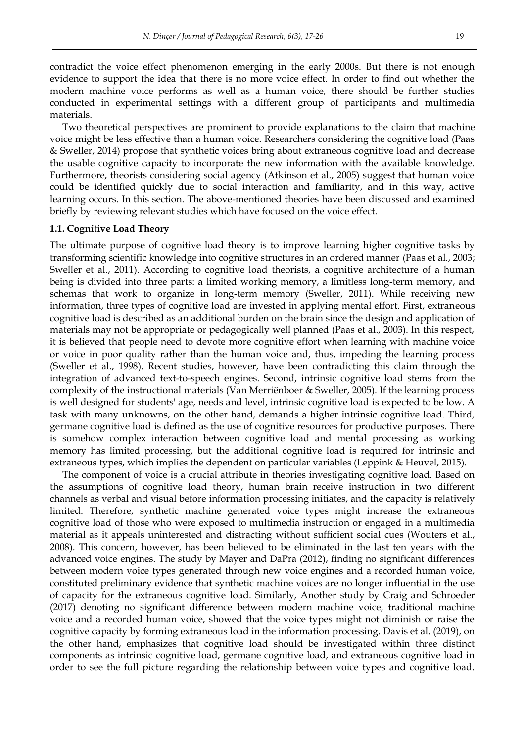contradict the voice effect phenomenon emerging in the early 2000s. But there is not enough evidence to support the idea that there is no more voice effect. In order to find out whether the modern machine voice performs as well as a human voice, there should be further studies conducted in experimental settings with a different group of participants and multimedia materials.

Two theoretical perspectives are prominent to provide explanations to the claim that machine voice might be less effective than a human voice. Researchers considering the cognitive load (Paas & Sweller, 2014) propose that synthetic voices bring about extraneous cognitive load and decrease the usable cognitive capacity to incorporate the new information with the available knowledge. Furthermore, theorists considering social agency (Atkinson et al., 2005) suggest that human voice could be identified quickly due to social interaction and familiarity, and in this way, active learning occurs. In this section. The above-mentioned theories have been discussed and examined briefly by reviewing relevant studies which have focused on the voice effect.

#### **1.1. Cognitive Load Theory**

The ultimate purpose of cognitive load theory is to improve learning higher cognitive tasks by transforming scientific knowledge into cognitive structures in an ordered manner (Paas et al., 2003; Sweller et al., 2011). According to cognitive load theorists, a cognitive architecture of a human being is divided into three parts: a limited working memory, a limitless long-term memory, and schemas that work to organize in long-term memory (Sweller, 2011). While receiving new information, three types of cognitive load are invested in applying mental effort. First, extraneous cognitive load is described as an additional burden on the brain since the design and application of materials may not be appropriate or pedagogically well planned (Paas et al., 2003). In this respect, it is believed that people need to devote more cognitive effort when learning with machine voice or voice in poor quality rather than the human voice and, thus, impeding the learning process (Sweller et al., 1998). Recent studies, however, have been contradicting this claim through the integration of advanced text-to-speech engines. Second, intrinsic cognitive load stems from the complexity of the instructional materials (Van Merriënboer & Sweller, 2005). If the learning process is well designed for students' age, needs and level, intrinsic cognitive load is expected to be low. A task with many unknowns, on the other hand, demands a higher intrinsic cognitive load. Third, germane cognitive load is defined as the use of cognitive resources for productive purposes. There is somehow complex interaction between cognitive load and mental processing as working memory has limited processing, but the additional cognitive load is required for intrinsic and extraneous types, which implies the dependent on particular variables (Leppink & Heuvel, 2015).

The component of voice is a crucial attribute in theories investigating cognitive load. Based on the assumptions of cognitive load theory, human brain receive instruction in two different channels as verbal and visual before information processing initiates, and the capacity is relatively limited. Therefore, synthetic machine generated voice types might increase the extraneous cognitive load of those who were exposed to multimedia instruction or engaged in a multimedia material as it appeals uninterested and distracting without sufficient social cues (Wouters et al., 2008). This concern, however, has been believed to be eliminated in the last ten years with the advanced voice engines. The study by Mayer and DaPra (2012), finding no significant differences between modern voice types generated through new voice engines and a recorded human voice, constituted preliminary evidence that synthetic machine voices are no longer influential in the use of capacity for the extraneous cognitive load. Similarly, Another study by Craig and Schroeder (2017) denoting no significant difference between modern machine voice, traditional machine voice and a recorded human voice, showed that the voice types might not diminish or raise the cognitive capacity by forming extraneous load in the information processing. Davis et al. (2019), on the other hand, emphasizes that cognitive load should be investigated within three distinct components as intrinsic cognitive load, germane cognitive load, and extraneous cognitive load in order to see the full picture regarding the relationship between voice types and cognitive load.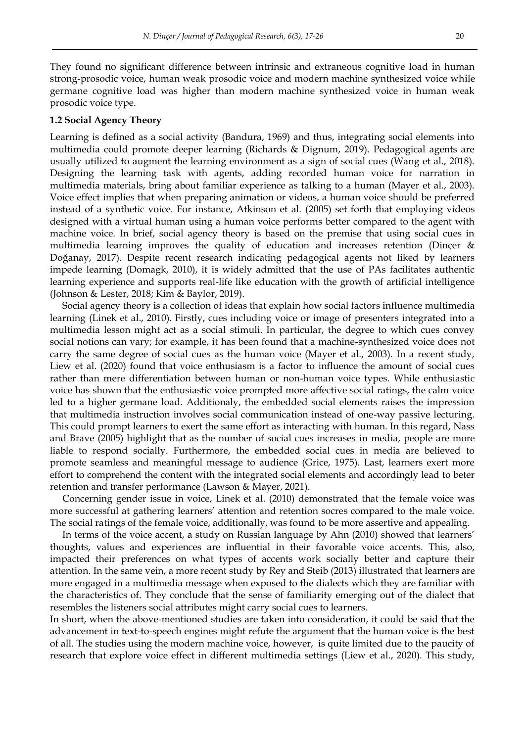They found no significant difference between intrinsic and extraneous cognitive load in human strong-prosodic voice, human weak prosodic voice and modern machine synthesized voice while germane cognitive load was higher than modern machine synthesized voice in human weak prosodic voice type.

#### **1.2 Social Agency Theory**

Learning is defined as a social activity (Bandura, 1969) and thus, integrating social elements into multimedia could promote deeper learning (Richards & Dignum, 2019). Pedagogical agents are usually utilized to augment the learning environment as a sign of social cues (Wang et al., 2018). Designing the learning task with agents, adding recorded human voice for narration in multimedia materials, bring about familiar experience as talking to a human (Mayer et al., 2003). Voice effect implies that when preparing animation or videos, a human voice should be preferred instead of a synthetic voice. For instance, Atkinson et al. (2005) set forth that employing videos designed with a virtual human using a human voice performs better compared to the agent with machine voice. In brief, social agency theory is based on the premise that using social cues in multimedia learning improves the quality of education and increases retention (Dinçer & Doğanay, 2017). Despite recent research indicating pedagogical agents not liked by learners impede learning (Domagk, 2010), it is widely admitted that the use of PAs facilitates authentic learning experience and supports real-life like education with the growth of artificial intelligence (Johnson & Lester, 2018; Kim & Baylor, 2019).

Social agency theory is a collection of ideas that explain how social factors influence multimedia learning (Linek et al., 2010). Firstly, cues including voice or image of presenters integrated into a multimedia lesson might act as a social stimuli. In particular, the degree to which cues convey social notions can vary; for example, it has been found that a machine-synthesized voice does not carry the same degree of social cues as the human voice (Mayer et al., 2003). In a recent study, Liew et al. (2020) found that voice enthusiasm is a factor to influence the amount of social cues rather than mere differentiation between human or non-human voice types. While enthusiastic voice has shown that the enthusiastic voice prompted more affective social ratings, the calm voice led to a higher germane load. Additionaly, the embedded social elements raises the impression that multimedia instruction involves social communication instead of one-way passive lecturing. This could prompt learners to exert the same effort as interacting with human. In this regard, Nass and Brave (2005) highlight that as the number of social cues increases in media, people are more liable to respond socially. Furthermore, the embedded social cues in media are believed to promote seamless and meaningful message to audience (Grice, 1975). Last, learners exert more effort to comprehend the content with the integrated social elements and accordingly lead to beter retention and transfer performance (Lawson & Mayer, 2021).

Concerning gender issue in voice, Linek et al. (2010) demonstrated that the female voice was more successful at gathering learners' attention and retention socres compared to the male voice. The social ratings of the female voice, additionally, was found to be more assertive and appealing.

In terms of the voice accent, a study on Russian language by Ahn (2010) showed that learners' thoughts, values and experiences are influential in their favorable voice accents. This, also, impacted their preferences on what types of accents work socially better and capture their attention. In the same vein, a more recent study by Rey and Steib (2013) illustrated that learners are more engaged in a multimedia message when exposed to the dialects which they are familiar with the characteristics of. They conclude that the sense of familiarity emerging out of the dialect that resembles the listeners social attributes might carry social cues to learners.

In short, when the above-mentioned studies are taken into consideration, it could be said that the advancement in text-to-speech engines might refute the argument that the human voice is the best of all. The studies using the modern machine voice, however, is quite limited due to the paucity of research that explore voice effect in different multimedia settings (Liew et al., 2020). This study,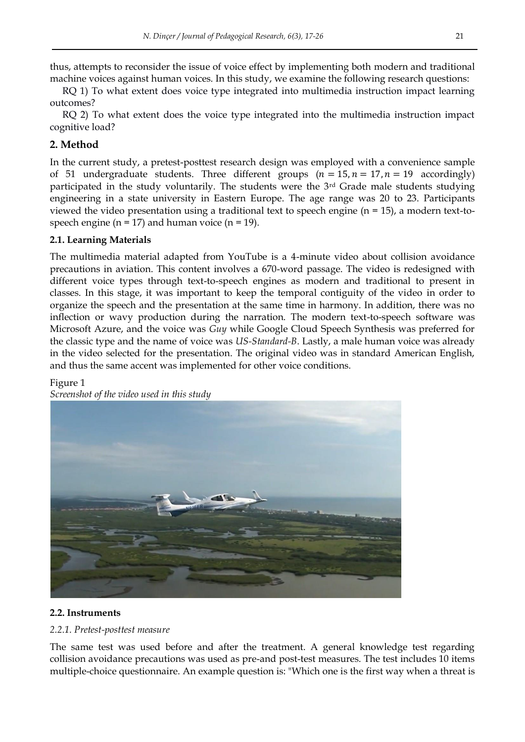thus, attempts to reconsider the issue of voice effect by implementing both modern and traditional machine voices against human voices. In this study, we examine the following research questions:

RQ 1) To what extent does voice type integrated into multimedia instruction impact learning outcomes?

RQ 2) To what extent does the voice type integrated into the multimedia instruction impact cognitive load?

## **2. Method**

In the current study, a pretest-posttest research design was employed with a convenience sample of 51 undergraduate students. Three different groups  $(n = 15, n = 17, n = 19$  accordingly) participated in the study voluntarily. The students were the 3<sup>rd</sup> Grade male students studying engineering in a state university in Eastern Europe. The age range was 20 to 23. Participants viewed the video presentation using a traditional text to speech engine  $(n = 15)$ , a modern text-tospeech engine ( $n = 17$ ) and human voice ( $n = 19$ ).

## **2.1. Learning Materials**

The multimedia material adapted from YouTube is a 4-minute video about collision avoidance precautions in aviation. This content involves a 670-word passage. The video is redesigned with different voice types through text-to-speech engines as modern and traditional to present in classes. In this stage, it was important to keep the temporal contiguity of the video in order to organize the speech and the presentation at the same time in harmony. In addition, there was no inflection or wavy production during the narration. The modern text-to-speech software was Microsoft Azure, and the voice was *Guy* while Google Cloud Speech Synthesis was preferred for the classic type and the name of voice was *US-Standard-B*. Lastly, a male human voice was already in the video selected for the presentation. The original video was in standard American English, and thus the same accent was implemented for other voice conditions.

## Figure 1



## *Screenshot of the video used in this study*

## **2.2. Instruments**

## *2.2.1. Pretest-posttest measure*

The same test was used before and after the treatment. A general knowledge test regarding collision avoidance precautions was used as pre-and post-test measures. The test includes 10 items multiple-choice questionnaire. An example question is: "Which one is the first way when a threat is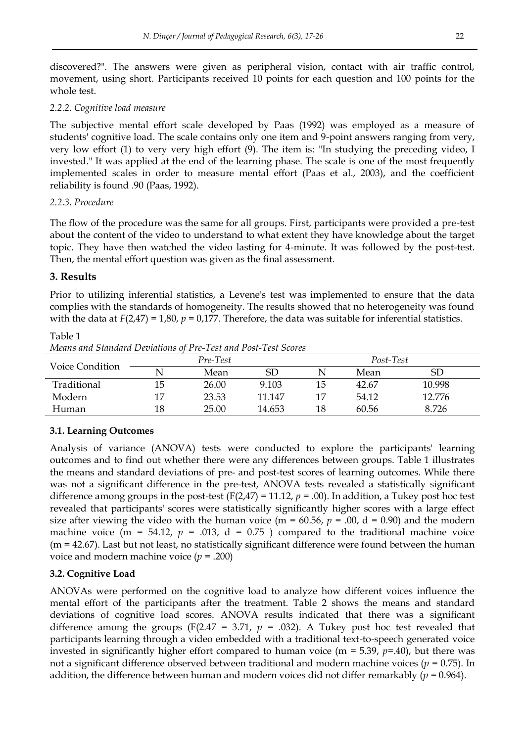discovered?". The answers were given as peripheral vision, contact with air traffic control, movement, using short. Participants received 10 points for each question and 100 points for the whole test.

#### *2.2.2. Cognitive load measure*

The subjective mental effort scale developed by Paas (1992) was employed as a measure of students' cognitive load. The scale contains only one item and 9-point answers ranging from very, very low effort (1) to very very high effort (9). The item is: "In studying the preceding video, I invested." It was applied at the end of the learning phase. The scale is one of the most frequently implemented scales in order to measure mental effort (Paas et al., 2003), and the coefficient reliability is found .90 (Paas, 1992).

#### *2.2.3. Procedure*

The flow of the procedure was the same for all groups. First, participants were provided a pre-test about the content of the video to understand to what extent they have knowledge about the target topic. They have then watched the video lasting for 4-minute. It was followed by the post-test. Then, the mental effort question was given as the final assessment.

## **3. Results**

Table 1

Prior to utilizing inferential statistics, a Levene's test was implemented to ensure that the data complies with the standards of homogeneity. The results showed that no heterogeneity was found with the data at  $F(2,47) = 1,80$ ,  $p = 0,177$ . Therefore, the data was suitable for inferential statistics.

| THE RIGHT CONTRACT DECIMBIONS OF I TO TEST WHAT TOOP TEST SECTION |    |          |        |    |           |        |  |
|-------------------------------------------------------------------|----|----------|--------|----|-----------|--------|--|
| Voice Condition                                                   |    | Pre-Test |        |    | Post-Test |        |  |
|                                                                   |    | Mean     | SD     | N  | Mean      | SD     |  |
| Traditional                                                       | 15 | 26.00    | 9.103  | 15 | 42.67     | 10.998 |  |
| Modern                                                            | 17 | 23.53    | 11.147 |    | 54.12     | 12.776 |  |
| Human                                                             | 18 | 25.00    | 14.653 | 18 | 60.56     | 8.726  |  |

*Means and Standard Deviations of Pre-Test and Post-Test Scores*

## **3.1. Learning Outcomes**

Analysis of variance (ANOVA) tests were conducted to explore the participants' learning outcomes and to find out whether there were any differences between groups. Table 1 illustrates the means and standard deviations of pre- and post-test scores of learning outcomes. While there was not a significant difference in the pre-test, ANOVA tests revealed a statistically significant difference among groups in the post-test (F(2,47) = 11.12, *p* = .00). In addition, a Tukey post hoc test revealed that participants' scores were statistically significantly higher scores with a large effect size after viewing the video with the human voice (m = 60.56,  $p = .00$ , d = 0.90) and the modern machine voice (m = 54.12,  $p = .013$ ,  $d = 0.75$ ) compared to the traditional machine voice  $(m = 42.67)$ . Last but not least, no statistically significant difference were found between the human voice and modern machine voice (*p* = .200)

## **3.2. Cognitive Load**

ANOVAs were performed on the cognitive load to analyze how different voices influence the mental effort of the participants after the treatment. Table 2 shows the means and standard deviations of cognitive load scores. ANOVA results indicated that there was a significant difference among the groups (F(2.47 = 3.71,  $p = .032$ ). A Tukey post hoc test revealed that participants learning through a video embedded with a traditional text-to-speech generated voice invested in significantly higher effort compared to human voice (m = 5.39, *p*=.40), but there was not a significant difference observed between traditional and modern machine voices (*p* = 0.75). In addition, the difference between human and modern voices did not differ remarkably ( $p = 0.964$ ).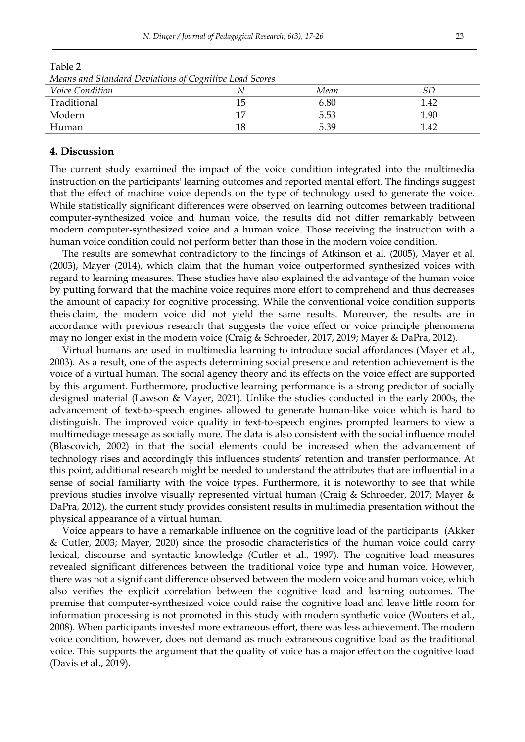| <i>IVIearis and Standard Deviations of Cognitive Load Scores</i> |    |      |      |  |  |  |
|------------------------------------------------------------------|----|------|------|--|--|--|
| <i>Voice Condition</i>                                           |    | Mean |      |  |  |  |
| Traditional                                                      | 15 | 6.80 | 1.42 |  |  |  |
| Modern                                                           |    | 5.53 | 1.90 |  |  |  |
| Human                                                            | 18 | 5.39 | 1.42 |  |  |  |

Table 2 *Means and Standard Deviations of Cognitive Load Scores*

#### **4. Discussion**

The current study examined the impact of the voice condition integrated into the multimedia instruction on the participants' learning outcomes and reported mental effort. The findings suggest that the effect of machine voice depends on the type of technology used to generate the voice. While statistically significant differences were observed on learning outcomes between traditional computer-synthesized voice and human voice, the results did not differ remarkably between modern computer-synthesized voice and a human voice. Those receiving the instruction with a human voice condition could not perform better than those in the modern voice condition.

The results are somewhat contradictory to the findings of Atkinson et al. (2005), Mayer et al. (2003), Mayer (2014), which claim that the human voice outperformed synthesized voices with regard to learning measures. These studies have also explained the advantage of the human voice by putting forward that the machine voice requires more effort to comprehend and thus decreases the amount of capacity for cognitive processing. While the conventional voice condition supports theis claim, the modern voice did not yield the same results. Moreover, the results are in accordance with previous research that suggests the voice effect or voice principle phenomena may no longer exist in the modern voice (Craig & Schroeder, 2017, 2019; Mayer & DaPra, 2012).

Virtual humans are used in multimedia learning to introduce social affordances (Mayer et al., 2003). As a result, one of the aspects determining social presence and retention achievement is the voice of a virtual human. The social agency theory and its effects on the voice effect are supported by this argument. Furthermore, productive learning performance is a strong predictor of socially designed material (Lawson & Mayer, 2021). Unlike the studies conducted in the early 2000s, the advancement of text-to-speech engines allowed to generate human-like voice which is hard to distinguish. The improved voice quality in text-to-speech engines prompted learners to view a multimediage message as socially more. The data is also consistent with the social influence model (Blascovich, 2002) in that the social elements could be increased when the advancement of technology rises and accordingly this influences students' retention and transfer performance. At this point, additional research might be needed to understand the attributes that are influential in a sense of social familiarty with the voice types. Furthermore, it is noteworthy to see that while previous studies involve visually represented virtual human (Craig & Schroeder, 2017; Mayer & DaPra, 2012), the current study provides consistent results in multimedia presentation without the physical appearance of a virtual human.

Voice appears to have a remarkable influence on the cognitive load of the participants (Akker & Cutler, 2003; Mayer, 2020) since the prosodic characteristics of the human voice could carry lexical, discourse and syntactic knowledge (Cutler et al., 1997). The cognitive load measures revealed significant differences between the traditional voice type and human voice. However, there was not a significant difference observed between the modern voice and human voice, which also verifies the explicit correlation between the cognitive load and learning outcomes. The premise that computer-synthesized voice could raise the cognitive load and leave little room for information processing is not promoted in this study with modern synthetic voice (Wouters et al., 2008). When participants invested more extraneous effort, there was less achievement. The modern voice condition, however, does not demand as much extraneous cognitive load as the traditional voice. This supports the argument that the quality of voice has a major effect on the cognitive load (Davis et al., 2019).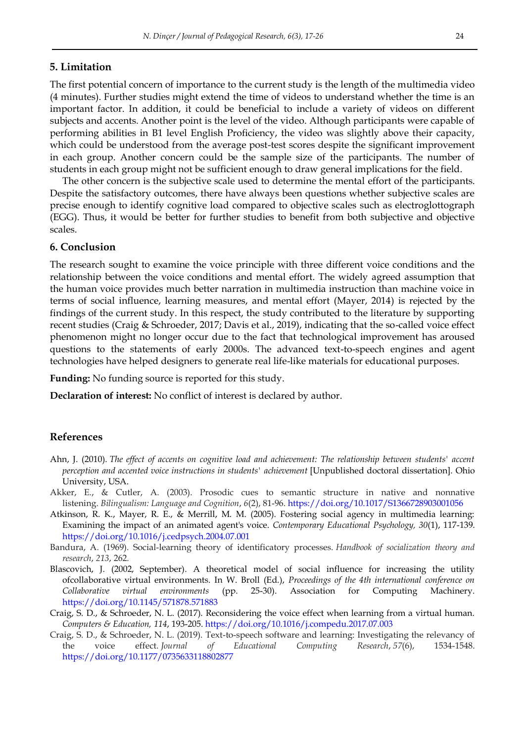#### **5. Limitation**

The first potential concern of importance to the current study is the length of the multimedia video (4 minutes). Further studies might extend the time of videos to understand whether the time is an important factor. In addition, it could be beneficial to include a variety of videos on different subjects and accents. Another point is the level of the video. Although participants were capable of performing abilities in B1 level English Proficiency, the video was slightly above their capacity, which could be understood from the average post-test scores despite the significant improvement in each group. Another concern could be the sample size of the participants. The number of students in each group might not be sufficient enough to draw general implications for the field.

The other concern is the subjective scale used to determine the mental effort of the participants. Despite the satisfactory outcomes, there have always been questions whether subjective scales are precise enough to identify cognitive load compared to objective scales such as electroglottograph (EGG). Thus, it would be better for further studies to benefit from both subjective and objective scales.

#### **6. Conclusion**

The research sought to examine the voice principle with three different voice conditions and the relationship between the voice conditions and mental effort. The widely agreed assumption that the human voice provides much better narration in multimedia instruction than machine voice in terms of social influence, learning measures, and mental effort (Mayer, 2014) is rejected by the findings of the current study. In this respect, the study contributed to the literature by supporting recent studies (Craig & Schroeder, 2017; Davis et al., 2019), indicating that the so-called voice effect phenomenon might no longer occur due to the fact that technological improvement has aroused questions to the statements of early 2000s. The advanced text-to-speech engines and agent technologies have helped designers to generate real life-like materials for educational purposes.

**Funding:** No funding source is reported for this study.

**Declaration of interest:** No conflict of interest is declared by author.

#### **References**

- Ahn, J. (2010). *The effect of accents on cognitive load and achievement: The relationship between students' accent perception and accented voice instructions in students' achievement* [Unpublished doctoral dissertation]. Ohio University, USA.
- Akker, E., & Cutler, A. (2003). Prosodic cues to semantic structure in native and nonnative listening. *Bilingualism: Language and Cognition*, *6*(2), 81-96.<https://doi.org/10.1017/S1366728903001056>
- Atkinson, R. K., Mayer, R. E., & Merrill, M. M. (2005). Fostering social agency in multimedia learning: Examining the impact of an animated agent's voice. *Contemporary Educational Psychology, 30*(1), 117-139. <https://doi.org/10.1016/j.cedpsych.2004.07.001>
- Bandura, A. (1969). Social-learning theory of identificatory processes. *Handbook of socialization theory and research*, *213*, 262.
- Blascovich, J. (2002, September). A theoretical model of social influence for increasing the utility ofcollaborative virtual environments. In W. Broll (Ed.), *Proceedings of the 4th international conference on Collaborative virtual environments* (pp. 25-30). Association for Computing Machinery. <https://doi.org/10.1145/571878.571883>
- Craig, S. D., & Schroeder, N. L. (2017). Reconsidering the voice effect when learning from a virtual human. *Computers & Education, 114*, 193-205[. https://doi.org/10.1016/j.compedu.2017.07.003](https://doi.org/10.1016/j.compedu.2017.07.003)
- Craig, S. D., & Schroeder, N. L. (2019). Text-to-speech software and learning: Investigating the relevancy of the voice effect. *Journal of Educational Computing Research*, *57*(6), 1534-1548. [https://doi.org/10.1177/0735633118802877](https://doi.org/10.1177%2F0735633118802877)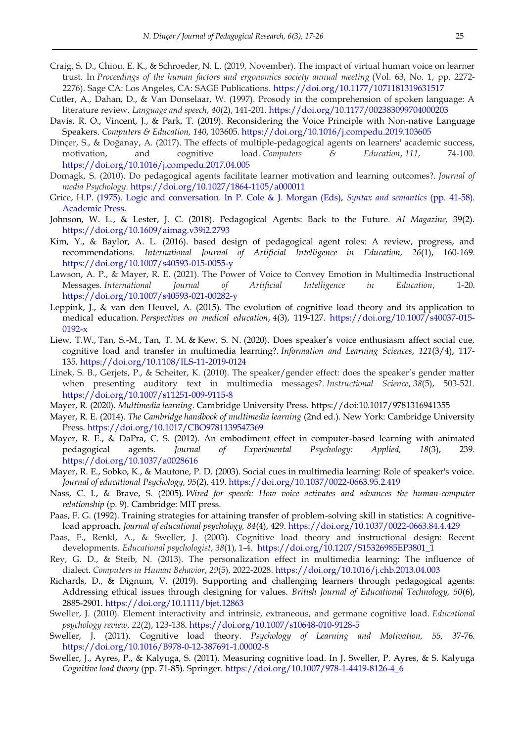- Craig, S. D., Chiou, E. K., & Schroeder, N. L. (2019, November). The impact of virtual human voice on learner trust. In *Proceedings of the human factors and ergonomics society annual meeting* (Vol. 63, No. 1, pp. 2272- 2276). Sage CA: Los Angeles, CA: SAGE Publications. [https://doi.org/10.1177/1071181319631517](https://doi.org/10.1177%2F1071181319631517)
- Cutler, A., Dahan, D., & Van Donselaar, W. (1997). Prosody in the comprehension of spoken language: A literature review. *Language and speech*, *40*(2), 141-201. [https://doi.org/10.1177/002383099704000203](https://doi.org/10.1177%2F002383099704000203)
- Davis, R. O., Vincent, J., & Park, T. (2019). Reconsidering the Voice Principle with Non-native Language Speakers. *Computers & Education, 140*, 103605.<https://doi.org/10.1016/j.compedu.2019.103605>
- Dinçer, S., & Doğanay, A. (2017). The effects of multiple-pedagogical agents on learners' academic success, motivation, and cognitive load. *Computers & Education*, 111, 74-100. <https://doi.org/10.1016/j.compedu.2017.04.005>
- Domagk, S. (2010). Do pedagogical agents facilitate learner motivation and learning outcomes?. *Journal of media Psychology*.<https://doi.org/10.1027/1864-1105/a000011>
- Grice, H.P. (1975). Logic and conversation. In P. Cole & J. Morgan (Eds), *Syntax and semantics* (pp. 41-58). Academic Press.
- Johnson, W. L., & Lester, J. C. (2018). Pedagogical Agents: Back to the Future. *AI Magazine,* 39(2). <https://doi.org/10.1609/aimag.v39i2.2793>
- Kim, Y., & Baylor, A. L. (2016). based design of pedagogical agent roles: A review, progress, and recommendations*. International Journal of Artificial Intelligence in Education, 26*(1), 160-169. <https://doi.org/10.1007/s40593-015-0055-y>
- Lawson, A. P., & Mayer, R. E. (2021). The Power of Voice to Convey Emotion in Multimedia Instructional Messages. *International Journal of Artificial Intelligence in Education*, 1-20. <https://doi.org/10.1007/s40593-021-00282-y>
- Leppink, J., & van den Heuvel, A. (2015). The evolution of cognitive load theory and its application to medical education. *Perspectives on medical education*, *4*(3), 119-127. [https://doi.org/10.1007/s40037-015-](https://doi.org/10.1007/s40037-015-0192-x)  $0192-x$
- Liew, T.W., Tan, S.-M., Tan, T. M. & Kew, S. N. (2020). Does speaker's voice enthusiasm affect social cue, cognitive load and transfer in multimedia learning?. *Information and Learning Sciences*, *121*(3/4), 117- 135. <https://doi.org/10.1108/ILS-11-2019-0124>
- Linek, S. B., Gerjets, P., & Scheiter, K. (2010). The speaker/gender effect: does the speaker's gender matter when presenting auditory text in multimedia messages?. *Instructional Science*, *38*(5), 503-521. <https://doi.org/10.1007/s11251-009-9115-8>
- Mayer, R. (2020). *Multimedia learning*. Cambridge University Press. https://doi:10.1017/9781316941355
- Mayer, R. E. (2014). *The Cambridge handbook of multimedia learning* (2nd ed.). New York: Cambridge University Press.<https://doi.org/10.1017/CBO9781139547369>
- Mayer, R. E., & DaPra, C. S. (2012). An embodiment effect in computer-based learning with animated pedagogical agents. *Journal of Experimental Psychology: Applied, 18*(3), 239. <https://doi.org/10.1037/a0028616>
- Mayer, R. E., Sobko, K., & Mautone, P. D. (2003). Social cues in multimedia learning: Role of speaker's voice. *Journal of educational Psychology, 95*(2), 419.<https://doi.org/10.1037/0022-0663.95.2.419>
- Nass, C. I., & Brave, S. (2005). *Wired for speech: How voice activates and advances the human-computer relationship* (p. 9). Cambridge: MIT press.
- Paas, F. G. (1992). Training strategies for attaining transfer of problem-solving skill in statistics: A cognitiveload approach*. Journal of educational psychology, 84*(4), 429.<https://doi.org/10.1037/0022-0663.84.4.429>
- Paas, F., Renkl, A., & Sweller, J. (2003). Cognitive load theory and instructional design: Recent developments. *Educational psychologist*, *38*(1), 1-4. [https://doi.org/10.1207/S15326985EP3801\\_1](https://doi.org/10.1207/S15326985EP3801_1)
- Rey, G. D., & Steib, N. (2013). The personalization effect in multimedia learning: The influence of dialect. *Computers in Human Behavior*, *29*(5), 2022-2028.<https://doi.org/10.1016/j.chb.2013.04.003>
- Richards, D., & Dignum, V. (2019). Supporting and challenging learners through pedagogical agents: Addressing ethical issues through designing for values. *British Journal of Educational Technology, 50*(6), 2885-2901.<https://doi.org/10.1111/bjet.12863>
- Sweller, J. (2010). Element interactivity and intrinsic, extraneous, and germane cognitive load. *Educational psychology review*, *22*(2), 123-138[. https://doi.org/10.1007/s10648-010-9128-5](https://doi.org/10.1007/s10648-010-9128-5)
- Sweller, J. (2011). Cognitive load theory. *Psychology of Learning and Motivation, 55,* 37-76. <https://doi.org/10.1016/B978-0-12-387691-1.00002-8>
- Sweller, J., Ayres, P., & Kalyuga, S. (2011). Measuring cognitive load. In J. Sweller, P. Ayres, & S. Kalyuga *Cognitive load theory* (pp. 71-85). Springer. [https://doi.org/10.1007/978-1-4419-8126-4\\_6](https://doi.org/10.1007/978-1-4419-8126-4_6)